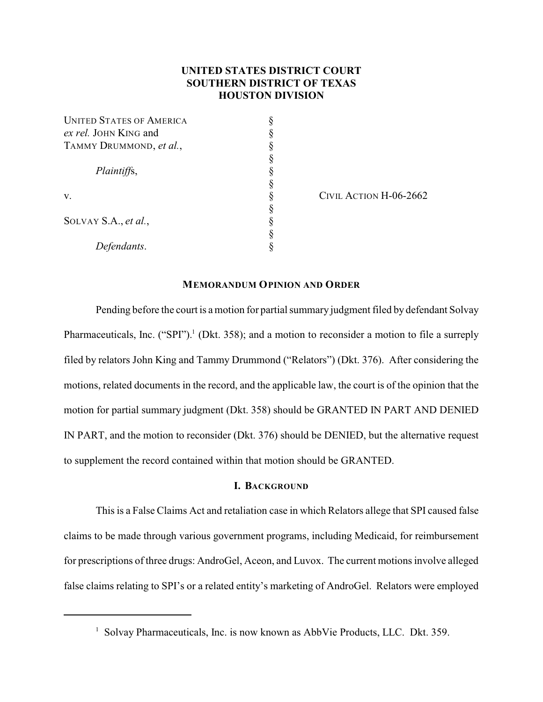# **UNITED STATES DISTRICT COURT SOUTHERN DISTRICT OF TEXAS HOUSTON DIVISION**

| <b>UNITED STATES OF AMERICA</b> |  |
|---------------------------------|--|
| ex rel. JOHN KING and           |  |
| TAMMY DRUMMOND, et al.,         |  |
|                                 |  |
| Plaintiffs,                     |  |
|                                 |  |
| V.                              |  |
|                                 |  |
| SOLVAY S.A., et al.,            |  |
|                                 |  |
| Defendants.                     |  |

CIVIL ACTION H-06-2662

# **MEMORANDUM OPINION AND ORDER**

Pending before the court is a motion for partial summary judgment filed by defendant Solvay Pharmaceuticals, Inc. ("SPI").<sup>1</sup> (Dkt. 358); and a motion to reconsider a motion to file a surreply filed by relators John King and Tammy Drummond ("Relators") (Dkt. 376). After considering the motions, related documents in the record, and the applicable law, the court is of the opinion that the motion for partial summary judgment (Dkt. 358) should be GRANTED IN PART AND DENIED IN PART, and the motion to reconsider (Dkt. 376) should be DENIED, but the alternative request to supplement the record contained within that motion should be GRANTED.

# **I. BACKGROUND**

This is a False Claims Act and retaliation case in which Relators allege that SPI caused false claims to be made through various government programs, including Medicaid, for reimbursement for prescriptions of three drugs: AndroGel, Aceon, and Luvox. The current motions involve alleged false claims relating to SPI's or a related entity's marketing of AndroGel. Relators were employed

<sup>&</sup>lt;sup>1</sup> Solvay Pharmaceuticals, Inc. is now known as AbbVie Products, LLC. Dkt. 359.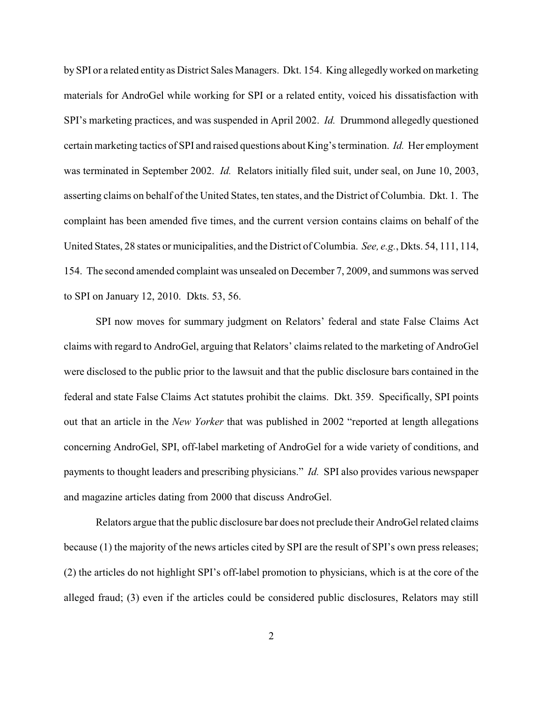by SPI or a related entity as District Sales Managers. Dkt. 154. King allegedly worked on marketing materials for AndroGel while working for SPI or a related entity, voiced his dissatisfaction with SPI's marketing practices, and was suspended in April 2002. *Id.* Drummond allegedly questioned certain marketing tactics of SPI and raised questions about King's termination. *Id.* Her employment was terminated in September 2002. *Id.* Relators initially filed suit, under seal, on June 10, 2003, asserting claims on behalf of the United States, ten states, and the District of Columbia. Dkt. 1. The complaint has been amended five times, and the current version contains claims on behalf of the United States, 28 states or municipalities, and the District of Columbia. *See, e.g.*, Dkts. 54, 111, 114, 154. The second amended complaint was unsealed on December 7, 2009, and summons was served to SPI on January 12, 2010. Dkts. 53, 56.

SPI now moves for summary judgment on Relators' federal and state False Claims Act claims with regard to AndroGel, arguing that Relators' claims related to the marketing of AndroGel were disclosed to the public prior to the lawsuit and that the public disclosure bars contained in the federal and state False Claims Act statutes prohibit the claims. Dkt. 359. Specifically, SPI points out that an article in the *New Yorker* that was published in 2002 "reported at length allegations concerning AndroGel, SPI, off-label marketing of AndroGel for a wide variety of conditions, and payments to thought leaders and prescribing physicians." *Id.* SPI also provides various newspaper and magazine articles dating from 2000 that discuss AndroGel.

Relators argue that the public disclosure bar does not preclude their AndroGel related claims because (1) the majority of the news articles cited by SPI are the result of SPI's own press releases; (2) the articles do not highlight SPI's off-label promotion to physicians, which is at the core of the alleged fraud; (3) even if the articles could be considered public disclosures, Relators may still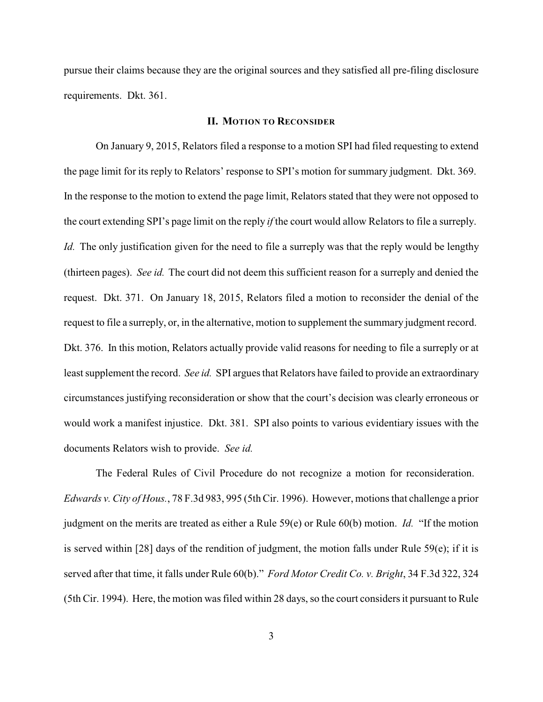pursue their claims because they are the original sources and they satisfied all pre-filing disclosure requirements. Dkt. 361.

#### **II. MOTION TO RECONSIDER**

On January 9, 2015, Relators filed a response to a motion SPI had filed requesting to extend the page limit for its reply to Relators' response to SPI's motion for summary judgment. Dkt. 369. In the response to the motion to extend the page limit, Relators stated that they were not opposed to the court extending SPI's page limit on the reply *if* the court would allow Relators to file a surreply. *Id.* The only justification given for the need to file a surreply was that the reply would be lengthy (thirteen pages). *See id.* The court did not deem this sufficient reason for a surreply and denied the request. Dkt. 371. On January 18, 2015, Relators filed a motion to reconsider the denial of the request to file a surreply, or, in the alternative, motion to supplement the summary judgment record. Dkt. 376. In this motion, Relators actually provide valid reasons for needing to file a surreply or at least supplement the record. *See id.* SPI argues that Relators have failed to provide an extraordinary circumstances justifying reconsideration or show that the court's decision was clearly erroneous or would work a manifest injustice. Dkt. 381. SPI also points to various evidentiary issues with the documents Relators wish to provide. *See id.*

The Federal Rules of Civil Procedure do not recognize a motion for reconsideration. *Edwards v. City of Hous.*, 78 F.3d 983, 995 (5th Cir. 1996). However, motions that challenge a prior judgment on the merits are treated as either a Rule 59(e) or Rule 60(b) motion. *Id.* "If the motion is served within [28] days of the rendition of judgment, the motion falls under Rule 59(e); if it is served after that time, it falls under Rule 60(b)." *Ford Motor Credit Co. v. Bright*, 34 F.3d 322, 324 (5th Cir. 1994). Here, the motion was filed within 28 days, so the court considers it pursuant to Rule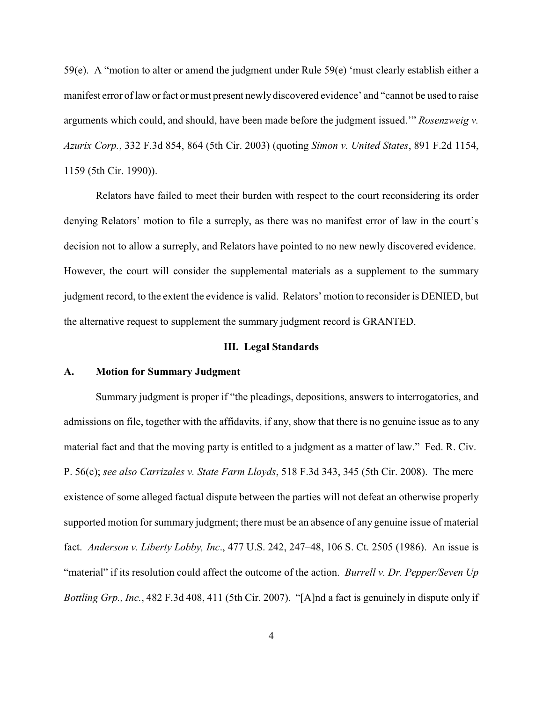59(e). A "motion to alter or amend the judgment under Rule 59(e) 'must clearly establish either a manifest error of law or fact or must present newly discovered evidence' and "cannot be used to raise arguments which could, and should, have been made before the judgment issued.'" *Rosenzweig v. Azurix Corp.*, 332 F.3d 854, 864 (5th Cir. 2003) (quoting *Simon v. United States*, 891 F.2d 1154, 1159 (5th Cir. 1990)).

Relators have failed to meet their burden with respect to the court reconsidering its order denying Relators' motion to file a surreply, as there was no manifest error of law in the court's decision not to allow a surreply, and Relators have pointed to no new newly discovered evidence. However, the court will consider the supplemental materials as a supplement to the summary judgment record, to the extent the evidence is valid. Relators' motion to reconsider is DENIED, but the alternative request to supplement the summary judgment record is GRANTED.

#### **III. Legal Standards**

## **A. Motion for Summary Judgment**

Summary judgment is proper if "the pleadings, depositions, answers to interrogatories, and admissions on file, together with the affidavits, if any, show that there is no genuine issue as to any material fact and that the moving party is entitled to a judgment as a matter of law." Fed. R. Civ. P. 56(c); *see also Carrizales v. State Farm Lloyds*, 518 F.3d 343, 345 (5th Cir. 2008). The mere existence of some alleged factual dispute between the parties will not defeat an otherwise properly supported motion for summary judgment; there must be an absence of any genuine issue of material fact. *Anderson v. Liberty Lobby, Inc*., 477 U.S. 242, 247–48, 106 S. Ct. 2505 (1986). An issue is "material" if its resolution could affect the outcome of the action. *Burrell v. Dr. Pepper/Seven Up Bottling Grp., Inc.*, 482 F.3d 408, 411 (5th Cir. 2007). "[A]nd a fact is genuinely in dispute only if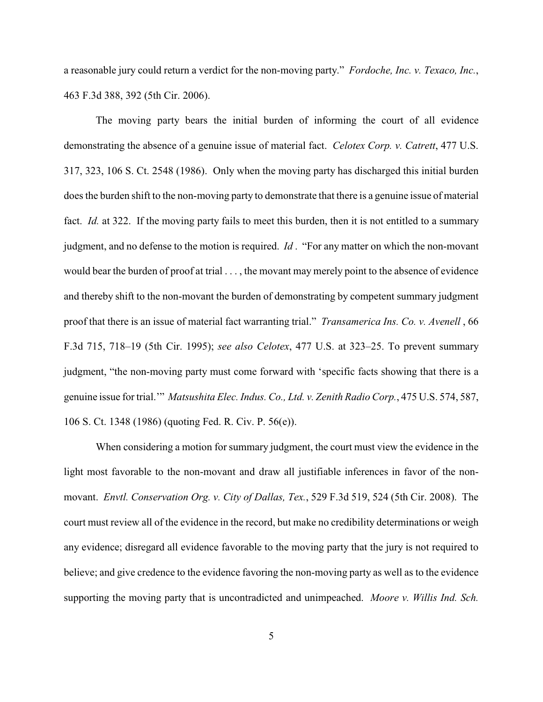a reasonable jury could return a verdict for the non-moving party." *Fordoche, Inc. v. Texaco, Inc.*, 463 F.3d 388, 392 (5th Cir. 2006).

The moving party bears the initial burden of informing the court of all evidence demonstrating the absence of a genuine issue of material fact. *Celotex Corp. v. Catrett*, 477 U.S. 317, 323, 106 S. Ct. 2548 (1986). Only when the moving party has discharged this initial burden does the burden shift to the non-moving party to demonstrate that there is a genuine issue of material fact. *Id.* at 322. If the moving party fails to meet this burden, then it is not entitled to a summary judgment, and no defense to the motion is required. *Id* . "For any matter on which the non-movant would bear the burden of proof at trial . . . , the movant may merely point to the absence of evidence and thereby shift to the non-movant the burden of demonstrating by competent summary judgment proof that there is an issue of material fact warranting trial." *Transamerica Ins. Co. v. Avenell* , 66 F.3d 715, 718–19 (5th Cir. 1995); *see also Celotex*, 477 U.S. at 323–25. To prevent summary judgment, "the non-moving party must come forward with 'specific facts showing that there is a genuine issue for trial.'" *Matsushita Elec. Indus. Co., Ltd. v. Zenith Radio Corp.*, 475 U.S. 574, 587, 106 S. Ct. 1348 (1986) (quoting Fed. R. Civ. P. 56(e)).

When considering a motion for summary judgment, the court must view the evidence in the light most favorable to the non-movant and draw all justifiable inferences in favor of the nonmovant. *Envtl. Conservation Org. v. City of Dallas, Tex.*, 529 F.3d 519, 524 (5th Cir. 2008). The court must review all of the evidence in the record, but make no credibility determinations or weigh any evidence; disregard all evidence favorable to the moving party that the jury is not required to believe; and give credence to the evidence favoring the non-moving party as well as to the evidence supporting the moving party that is uncontradicted and unimpeached. *Moore v. Willis Ind. Sch.*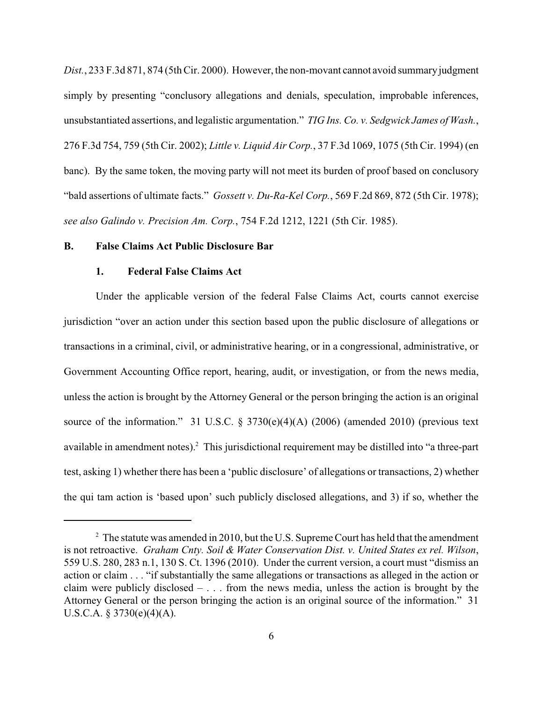*Dist.*, 233 F.3d 871, 874 (5th Cir. 2000). However, the non-movant cannot avoid summaryjudgment simply by presenting "conclusory allegations and denials, speculation, improbable inferences, unsubstantiated assertions, and legalistic argumentation." *TIG Ins. Co. v. Sedgwick James of Wash.*, 276 F.3d 754, 759 (5th Cir. 2002); *Little v. Liquid Air Corp.*, 37 F.3d 1069, 1075 (5th Cir. 1994) (en banc). By the same token, the moving party will not meet its burden of proof based on conclusory "bald assertions of ultimate facts." *Gossett v. Du-Ra-Kel Corp.*, 569 F.2d 869, 872 (5th Cir. 1978); *see also Galindo v. Precision Am. Corp.*, 754 F.2d 1212, 1221 (5th Cir. 1985).

#### **B. False Claims Act Public Disclosure Bar**

## **1. Federal False Claims Act**

Under the applicable version of the federal False Claims Act, courts cannot exercise jurisdiction "over an action under this section based upon the public disclosure of allegations or transactions in a criminal, civil, or administrative hearing, or in a congressional, administrative, or Government Accounting Office report, hearing, audit, or investigation, or from the news media, unless the action is brought by the Attorney General or the person bringing the action is an original source of the information." 31 U.S.C.  $\S 3730(e)(4)(A)$  (2006) (amended 2010) (previous text available in amendment notes).<sup>2</sup> This jurisdictional requirement may be distilled into "a three-part test, asking 1) whether there has been a 'public disclosure' of allegations or transactions, 2) whether the qui tam action is 'based upon' such publicly disclosed allegations, and 3) if so, whether the

 $2$  The statute was amended in 2010, but the U.S. Supreme Court has held that the amendment is not retroactive. *Graham Cnty. Soil & Water Conservation Dist. v. United States ex rel. Wilson*, 559 U.S. 280, 283 n.1, 130 S. Ct. 1396 (2010). Under the current version, a court must "dismiss an action or claim . . . "if substantially the same allegations or transactions as alleged in the action or claim were publicly disclosed  $- \dots$  from the news media, unless the action is brought by the Attorney General or the person bringing the action is an original source of the information." 31 U.S.C.A.  $\S 3730(e)(4)(A)$ .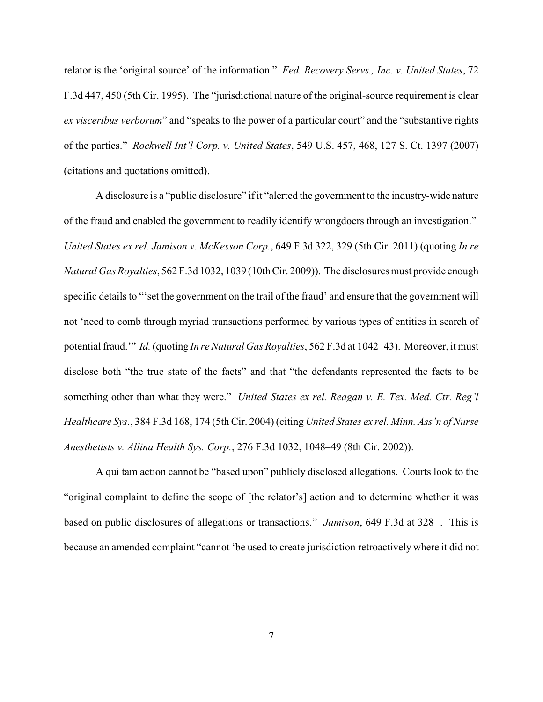relator is the 'original source' of the information." *Fed. Recovery Servs., Inc. v. United States*, 72 F.3d 447, 450 (5th Cir. 1995). The "jurisdictional nature of the original-source requirement is clear *ex visceribus verborum*" and "speaks to the power of a particular court" and the "substantive rights of the parties." *Rockwell Int'l Corp. v. United States*, 549 U.S. 457, 468, 127 S. Ct. 1397 (2007) (citations and quotations omitted).

A disclosure is a "public disclosure" if it "alerted the government to the industry-wide nature of the fraud and enabled the government to readily identify wrongdoers through an investigation." *United States ex rel. Jamison v. McKesson Corp.*, 649 F.3d 322, 329 (5th Cir. 2011) (quoting *In re Natural Gas Royalties*, 562 F.3d 1032, 1039 (10th Cir. 2009)). The disclosures must provide enough specific details to "'set the government on the trail of the fraud' and ensure that the government will not 'need to comb through myriad transactions performed by various types of entities in search of potential fraud.'" *Id.*(quoting *In re Natural Gas Royalties*, 562 F.3d at 1042–43). Moreover, it must disclose both "the true state of the facts" and that "the defendants represented the facts to be something other than what they were." *United States ex rel. Reagan v. E. Tex. Med. Ctr. Reg'l Healthcare Sys.*, 384 F.3d 168, 174 (5th Cir. 2004) (citing *United States ex rel. Minn. Ass'n of Nurse Anesthetists v. Allina Health Sys. Corp.*, 276 F.3d 1032, 1048–49 (8th Cir. 2002)).

A qui tam action cannot be "based upon" publicly disclosed allegations. Courts look to the "original complaint to define the scope of [the relator's] action and to determine whether it was based on public disclosures of allegations or transactions." *Jamison*, 649 F.3d at 328 . This is because an amended complaint "cannot 'be used to create jurisdiction retroactively where it did not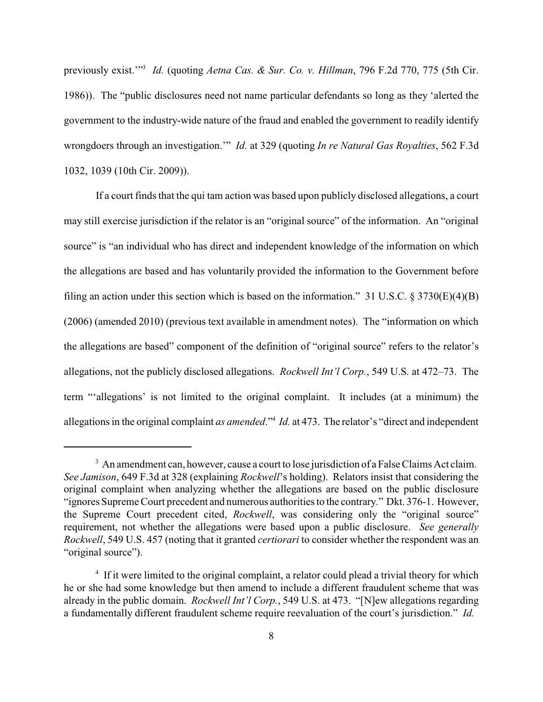previously exist."<sup>3</sup> *Id.* (quoting *Aetna Cas. & Sur. Co. v. Hillman*, 796 F.2d 770, 775 (5th Cir. 1986)). The "public disclosures need not name particular defendants so long as they 'alerted the government to the industry-wide nature of the fraud and enabled the government to readily identify wrongdoers through an investigation.'" *Id.* at 329 (quoting *In re Natural Gas Royalties*, 562 F.3d 1032, 1039 (10th Cir. 2009)).

If a court finds that the qui tam action was based upon publicly disclosed allegations, a court may still exercise jurisdiction if the relator is an "original source" of the information. An "original source" is "an individual who has direct and independent knowledge of the information on which the allegations are based and has voluntarily provided the information to the Government before filing an action under this section which is based on the information." 31 U.S.C. § 3730(E)(4)(B) (2006) (amended 2010) (previous text available in amendment notes). The "information on which the allegations are based" component of the definition of "original source" refers to the relator's allegations, not the publicly disclosed allegations. *Rockwell Int'l Corp.*, 549 U.S. at 472–73. The term "'allegations' is not limited to the original complaint. It includes (at a minimum) the allegations in the original complaint *as amended*."<sup>4</sup> *Id.* at 473. The relator's "direct and independent

 $3\,$  An amendment can, however, cause a court to lose jurisdiction of a False Claims Act claim. *See Jamison*, 649 F.3d at 328 (explaining *Rockwell*'s holding). Relators insist that considering the original complaint when analyzing whether the allegations are based on the public disclosure "ignores Supreme Court precedent and numerous authorities to the contrary." Dkt. 376-1. However, the Supreme Court precedent cited, *Rockwell*, was considering only the "original source" requirement, not whether the allegations were based upon a public disclosure. *See generally Rockwell*, 549 U.S. 457 (noting that it granted *certiorari* to consider whether the respondent was an "original source").

<sup>&</sup>lt;sup>4</sup> If it were limited to the original complaint, a relator could plead a trivial theory for which he or she had some knowledge but then amend to include a different fraudulent scheme that was already in the public domain. *Rockwell Int'l Corp.*, 549 U.S. at 473. "[N]ew allegations regarding a fundamentally different fraudulent scheme require reevaluation of the court's jurisdiction." *Id.*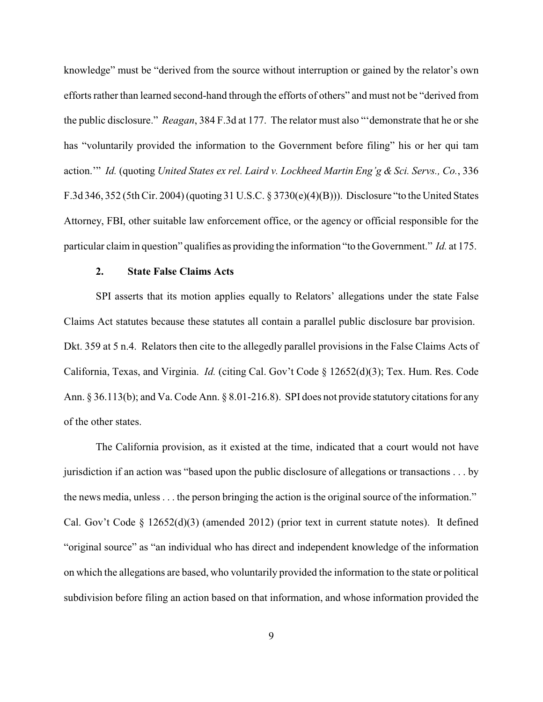knowledge" must be "derived from the source without interruption or gained by the relator's own efforts rather than learned second-hand through the efforts of others" and must not be "derived from the public disclosure." *Reagan*, 384 F.3d at 177. The relator must also "'demonstrate that he or she has "voluntarily provided the information to the Government before filing" his or her qui tam action.'" *Id.* (quoting *United States ex rel. Laird v. Lockheed Martin Eng'g & Sci. Servs., Co.*, 336 F.3d 346, 352 (5th Cir. 2004) (quoting 31 U.S.C. § 3730(e)(4)(B))). Disclosure "to the United States Attorney, FBI, other suitable law enforcement office, or the agency or official responsible for the particular claim in question" qualifies as providing the information "to the Government." *Id.* at 175.

#### **2. State False Claims Acts**

SPI asserts that its motion applies equally to Relators' allegations under the state False Claims Act statutes because these statutes all contain a parallel public disclosure bar provision. Dkt. 359 at 5 n.4. Relators then cite to the allegedly parallel provisions in the False Claims Acts of California, Texas, and Virginia. *Id.* (citing Cal. Gov't Code § 12652(d)(3); Tex. Hum. Res. Code Ann. § 36.113(b); and Va. Code Ann. § 8.01-216.8). SPI does not provide statutory citations for any of the other states.

The California provision, as it existed at the time, indicated that a court would not have jurisdiction if an action was "based upon the public disclosure of allegations or transactions . . . by the news media, unless . . . the person bringing the action is the original source of the information." Cal. Gov't Code § 12652(d)(3) (amended 2012) (prior text in current statute notes). It defined "original source" as "an individual who has direct and independent knowledge of the information on which the allegations are based, who voluntarily provided the information to the state or political subdivision before filing an action based on that information, and whose information provided the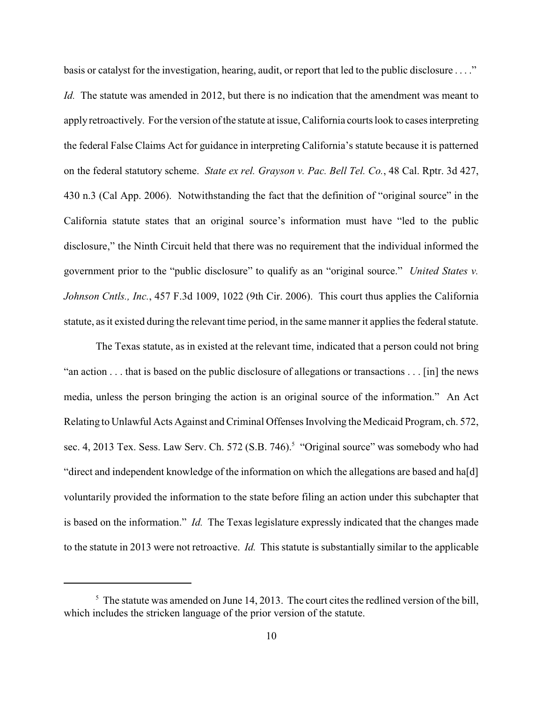basis or catalyst for the investigation, hearing, audit, or report that led to the public disclosure . . . ." *Id.* The statute was amended in 2012, but there is no indication that the amendment was meant to apply retroactively. Forthe version of the statute at issue, California courts look to cases interpreting the federal False Claims Act for guidance in interpreting California's statute because it is patterned on the federal statutory scheme. *State ex rel. Grayson v. Pac. Bell Tel. Co.*, 48 Cal. Rptr. 3d 427, 430 n.3 (Cal App. 2006). Notwithstanding the fact that the definition of "original source" in the California statute states that an original source's information must have "led to the public disclosure," the Ninth Circuit held that there was no requirement that the individual informed the government prior to the "public disclosure" to qualify as an "original source." *United States v. Johnson Cntls., Inc.*, 457 F.3d 1009, 1022 (9th Cir. 2006). This court thus applies the California statute, as it existed during the relevant time period, in the same manner it applies the federal statute.

The Texas statute, as in existed at the relevant time, indicated that a person could not bring "an action . . . that is based on the public disclosure of allegations or transactions . . . [in] the news media, unless the person bringing the action is an original source of the information." An Act Relating to Unlawful Acts Against and Criminal Offenses Involving the Medicaid Program, ch. 572, sec. 4, 2013 Tex. Sess. Law Serv. Ch. 572 (S.B. 746).<sup>5</sup> "Original source" was somebody who had "direct and independent knowledge of the information on which the allegations are based and ha[d] voluntarily provided the information to the state before filing an action under this subchapter that is based on the information." *Id.* The Texas legislature expressly indicated that the changes made to the statute in 2013 were not retroactive. *Id.* This statute is substantially similar to the applicable

 $\frac{5}{10}$ . The statute was amended on June 14, 2013. The court cites the redlined version of the bill, which includes the stricken language of the prior version of the statute.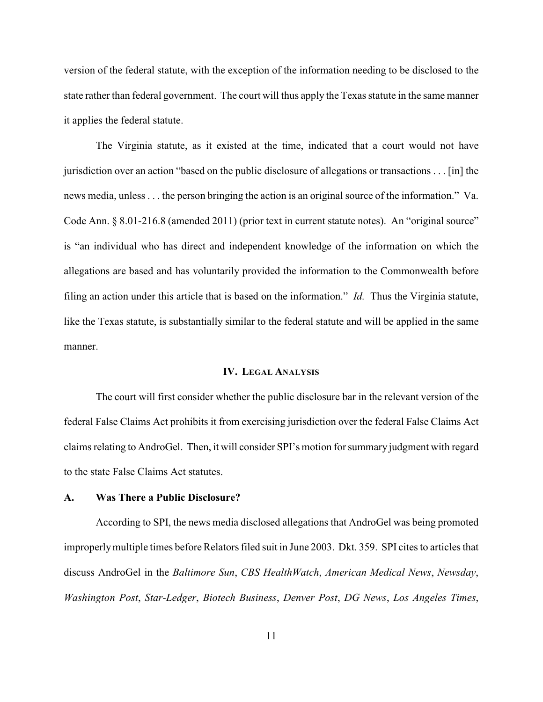version of the federal statute, with the exception of the information needing to be disclosed to the state rather than federal government. The court will thus apply the Texas statute in the same manner it applies the federal statute.

The Virginia statute, as it existed at the time, indicated that a court would not have jurisdiction over an action "based on the public disclosure of allegations or transactions . . . [in] the news media, unless . . . the person bringing the action is an original source of the information." Va. Code Ann. § 8.01-216.8 (amended 2011) (prior text in current statute notes). An "original source" is "an individual who has direct and independent knowledge of the information on which the allegations are based and has voluntarily provided the information to the Commonwealth before filing an action under this article that is based on the information." *Id.* Thus the Virginia statute, like the Texas statute, is substantially similar to the federal statute and will be applied in the same manner.

## **IV. LEGAL ANALYSIS**

The court will first consider whether the public disclosure bar in the relevant version of the federal False Claims Act prohibits it from exercising jurisdiction over the federal False Claims Act claims relating to AndroGel. Then, it will consider SPI's motion for summary judgment with regard to the state False Claims Act statutes.

# **A. Was There a Public Disclosure?**

According to SPI, the news media disclosed allegations that AndroGel was being promoted improperlymultiple times before Relators filed suit in June 2003. Dkt. 359. SPI cites to articles that discuss AndroGel in the *Baltimore Sun*, *CBS HealthWatch*, *American Medical News*, *Newsday*, *Washington Post*, *Star-Ledger*, *Biotech Business*, *Denver Post*, *DG News*, *Los Angeles Times*,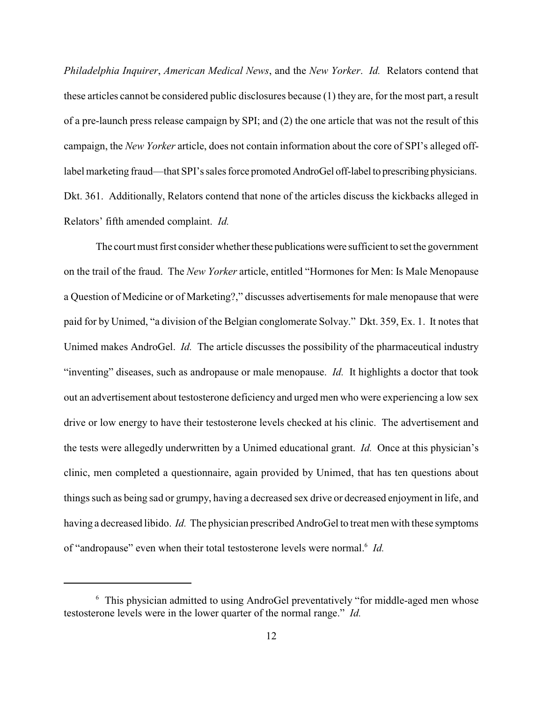*Philadelphia Inquirer*, *American Medical News*, and the *New Yorker*. *Id.* Relators contend that these articles cannot be considered public disclosures because (1) they are, for the most part, a result of a pre-launch press release campaign by SPI; and (2) the one article that was not the result of this campaign, the *New Yorker* article, does not contain information about the core of SPI's alleged offlabel marketing fraud—that SPI's sales force promoted AndroGel off-label to prescribing physicians. Dkt. 361. Additionally, Relators contend that none of the articles discuss the kickbacks alleged in Relators' fifth amended complaint. *Id.*

The court must first consider whether these publications were sufficient to set the government on the trail of the fraud. The *New Yorker* article, entitled "Hormones for Men: Is Male Menopause a Question of Medicine or of Marketing?," discusses advertisements for male menopause that were paid for by Unimed, "a division of the Belgian conglomerate Solvay." Dkt. 359, Ex. 1. It notes that Unimed makes AndroGel. *Id.* The article discusses the possibility of the pharmaceutical industry "inventing" diseases, such as andropause or male menopause. *Id.* It highlights a doctor that took out an advertisement about testosterone deficiency and urged men who were experiencing a low sex drive or low energy to have their testosterone levels checked at his clinic. The advertisement and the tests were allegedly underwritten by a Unimed educational grant. *Id.* Once at this physician's clinic, men completed a questionnaire, again provided by Unimed, that has ten questions about things such as being sad or grumpy, having a decreased sex drive or decreased enjoyment in life, and having a decreased libido. *Id.* The physician prescribed AndroGel to treat men with these symptoms of "andropause" even when their total testosterone levels were normal.<sup>6</sup> Id.

 $6\sigma$  This physician admitted to using AndroGel preventatively "for middle-aged men whose testosterone levels were in the lower quarter of the normal range." *Id.*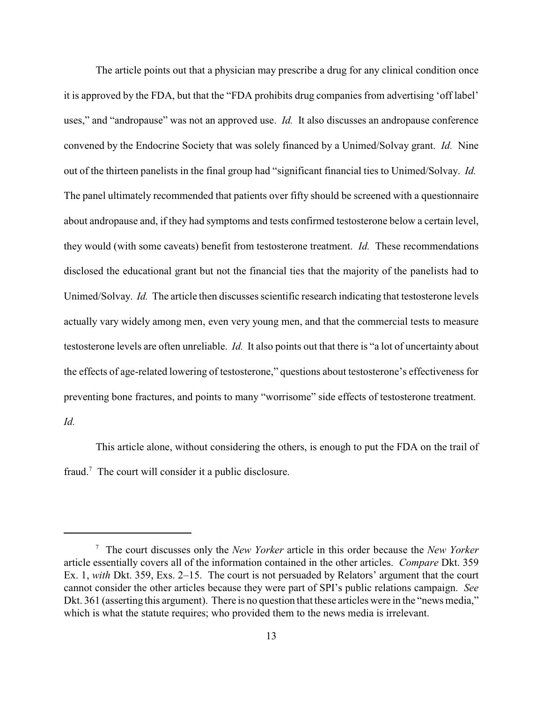The article points out that a physician may prescribe a drug for any clinical condition once it is approved by the FDA, but that the "FDA prohibits drug companies from advertising 'off label' uses," and "andropause" was not an approved use. *Id.* It also discusses an andropause conference convened by the Endocrine Society that was solely financed by a Unimed/Solvay grant. *Id.* Nine out of the thirteen panelists in the final group had "significant financial ties to Unimed/Solvay. *Id.* The panel ultimately recommended that patients over fifty should be screened with a questionnaire about andropause and, if they had symptoms and tests confirmed testosterone below a certain level, they would (with some caveats) benefit from testosterone treatment. *Id.* These recommendations disclosed the educational grant but not the financial ties that the majority of the panelists had to Unimed/Solvay. *Id.* The article then discusses scientific research indicating that testosterone levels actually vary widely among men, even very young men, and that the commercial tests to measure testosterone levels are often unreliable. *Id.* It also points out that there is "a lot of uncertainty about the effects of age-related lowering of testosterone," questions about testosterone's effectiveness for preventing bone fractures, and points to many "worrisome" side effects of testosterone treatment.

*Id.*

This article alone, without considering the others, is enough to put the FDA on the trail of fraud.<sup>7</sup> The court will consider it a public disclosure.

The court discusses only the *New Yorker* article in this order because the *New Yorker* <sup>7</sup> article essentially covers all of the information contained in the other articles. *Compare* Dkt. 359 Ex. 1, *with* Dkt. 359, Exs. 2–15. The court is not persuaded by Relators' argument that the court cannot consider the other articles because they were part of SPI's public relations campaign. *See* Dkt. 361 (asserting this argument). There is no question that these articles were in the "news media," which is what the statute requires; who provided them to the news media is irrelevant.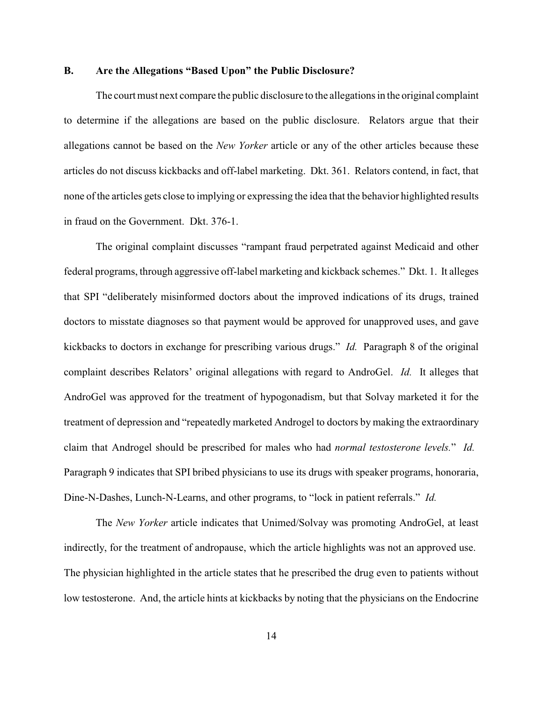# **B. Are the Allegations "Based Upon" the Public Disclosure?**

The court must next compare the public disclosure to the allegations in the original complaint to determine if the allegations are based on the public disclosure. Relators argue that their allegations cannot be based on the *New Yorker* article or any of the other articles because these articles do not discuss kickbacks and off-label marketing. Dkt. 361. Relators contend, in fact, that none of the articles gets close to implying or expressing the idea that the behavior highlighted results in fraud on the Government. Dkt. 376-1.

The original complaint discusses "rampant fraud perpetrated against Medicaid and other federal programs, through aggressive off-label marketing and kickback schemes." Dkt. 1. It alleges that SPI "deliberately misinformed doctors about the improved indications of its drugs, trained doctors to misstate diagnoses so that payment would be approved for unapproved uses, and gave kickbacks to doctors in exchange for prescribing various drugs." *Id.* Paragraph 8 of the original complaint describes Relators' original allegations with regard to AndroGel. *Id.* It alleges that AndroGel was approved for the treatment of hypogonadism, but that Solvay marketed it for the treatment of depression and "repeatedly marketed Androgel to doctors by making the extraordinary claim that Androgel should be prescribed for males who had *normal testosterone levels.*" *Id.* Paragraph 9 indicates that SPI bribed physicians to use its drugs with speaker programs, honoraria, Dine-N-Dashes, Lunch-N-Learns, and other programs, to "lock in patient referrals." *Id.*

The *New Yorker* article indicates that Unimed/Solvay was promoting AndroGel, at least indirectly, for the treatment of andropause, which the article highlights was not an approved use. The physician highlighted in the article states that he prescribed the drug even to patients without low testosterone. And, the article hints at kickbacks by noting that the physicians on the Endocrine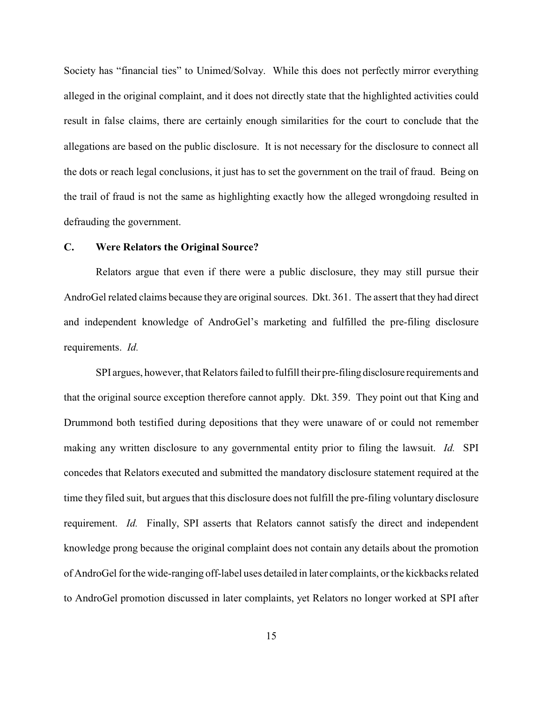Society has "financial ties" to Unimed/Solvay. While this does not perfectly mirror everything alleged in the original complaint, and it does not directly state that the highlighted activities could result in false claims, there are certainly enough similarities for the court to conclude that the allegations are based on the public disclosure. It is not necessary for the disclosure to connect all the dots or reach legal conclusions, it just has to set the government on the trail of fraud. Being on the trail of fraud is not the same as highlighting exactly how the alleged wrongdoing resulted in defrauding the government.

#### **C. Were Relators the Original Source?**

Relators argue that even if there were a public disclosure, they may still pursue their AndroGel related claims because they are original sources. Dkt. 361. The assert that they had direct and independent knowledge of AndroGel's marketing and fulfilled the pre-filing disclosure requirements. *Id.*

SPI argues, however, that Relators failed to fulfill their pre-filing disclosure requirements and that the original source exception therefore cannot apply. Dkt. 359. They point out that King and Drummond both testified during depositions that they were unaware of or could not remember making any written disclosure to any governmental entity prior to filing the lawsuit. *Id.* SPI concedes that Relators executed and submitted the mandatory disclosure statement required at the time they filed suit, but argues that this disclosure does not fulfill the pre-filing voluntary disclosure requirement. *Id.* Finally, SPI asserts that Relators cannot satisfy the direct and independent knowledge prong because the original complaint does not contain any details about the promotion of AndroGel for the wide-ranging off-label uses detailed in later complaints, or the kickbacks related to AndroGel promotion discussed in later complaints, yet Relators no longer worked at SPI after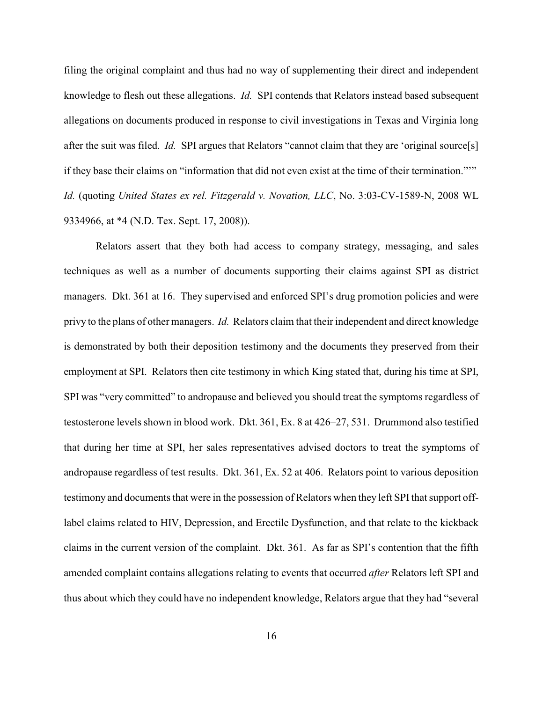filing the original complaint and thus had no way of supplementing their direct and independent knowledge to flesh out these allegations. *Id.* SPI contends that Relators instead based subsequent allegations on documents produced in response to civil investigations in Texas and Virginia long after the suit was filed. *Id.* SPI argues that Relators "cannot claim that they are 'original source[s] if they base their claims on "information that did not even exist at the time of their termination."'" *Id.* (quoting *United States ex rel. Fitzgerald v. Novation, LLC*, No. 3:03-CV-1589-N, 2008 WL 9334966, at \*4 (N.D. Tex. Sept. 17, 2008)).

Relators assert that they both had access to company strategy, messaging, and sales techniques as well as a number of documents supporting their claims against SPI as district managers. Dkt. 361 at 16. They supervised and enforced SPI's drug promotion policies and were privy to the plans of other managers. *Id.* Relators claim that their independent and direct knowledge is demonstrated by both their deposition testimony and the documents they preserved from their employment at SPI. Relators then cite testimony in which King stated that, during his time at SPI, SPI was "very committed" to andropause and believed you should treat the symptoms regardless of testosterone levels shown in blood work. Dkt. 361, Ex. 8 at 426–27, 531. Drummond also testified that during her time at SPI, her sales representatives advised doctors to treat the symptoms of andropause regardless of test results. Dkt. 361, Ex. 52 at 406. Relators point to various deposition testimony and documents that were in the possession of Relators when they left SPI that support offlabel claims related to HIV, Depression, and Erectile Dysfunction, and that relate to the kickback claims in the current version of the complaint. Dkt. 361. As far as SPI's contention that the fifth amended complaint contains allegations relating to events that occurred *after* Relators left SPI and thus about which they could have no independent knowledge, Relators argue that they had "several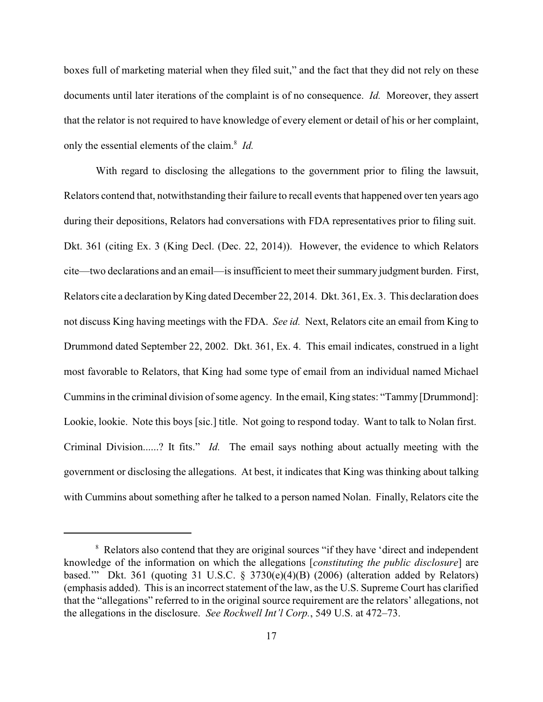boxes full of marketing material when they filed suit," and the fact that they did not rely on these documents until later iterations of the complaint is of no consequence. *Id.* Moreover, they assert that the relator is not required to have knowledge of every element or detail of his or her complaint, only the essential elements of the claim.<sup>8</sup> *Id.* 

With regard to disclosing the allegations to the government prior to filing the lawsuit, Relators contend that, notwithstanding their failure to recall events that happened over ten years ago during their depositions, Relators had conversations with FDA representatives prior to filing suit. Dkt. 361 (citing Ex. 3 (King Decl. (Dec. 22, 2014)). However, the evidence to which Relators cite—two declarations and an email—is insufficient to meet their summary judgment burden. First, Relators cite a declaration by King dated December 22, 2014. Dkt. 361, Ex. 3. This declaration does not discuss King having meetings with the FDA. *See id.* Next, Relators cite an email from King to Drummond dated September 22, 2002. Dkt. 361, Ex. 4. This email indicates, construed in a light most favorable to Relators, that King had some type of email from an individual named Michael Cummins in the criminal division of some agency. In the email, King states: "Tammy [Drummond]: Lookie, lookie. Note this boys [sic.] title. Not going to respond today. Want to talk to Nolan first. Criminal Division......? It fits." *Id.* The email says nothing about actually meeting with the government or disclosing the allegations. At best, it indicates that King was thinking about talking with Cummins about something after he talked to a person named Nolan. Finally, Relators cite the

<sup>&</sup>lt;sup>8</sup> Relators also contend that they are original sources "if they have 'direct and independent knowledge of the information on which the allegations [*constituting the public disclosure*] are based.'" Dkt. 361 (quoting 31 U.S.C. § 3730(e)(4)(B) (2006) (alteration added by Relators) (emphasis added). This is an incorrect statement of the law, as the U.S. Supreme Court has clarified that the "allegations" referred to in the original source requirement are the relators' allegations, not the allegations in the disclosure. *See Rockwell Int'l Corp.*, 549 U.S. at 472–73.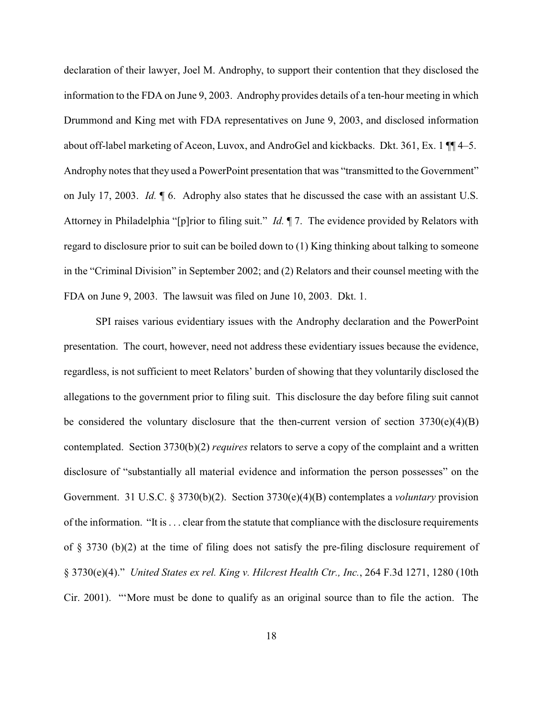declaration of their lawyer, Joel M. Androphy, to support their contention that they disclosed the information to the FDA on June 9, 2003. Androphy provides details of a ten-hour meeting in which Drummond and King met with FDA representatives on June 9, 2003, and disclosed information about off-label marketing of Aceon, Luvox, and AndroGel and kickbacks. Dkt. 361, Ex. 1 ¶¶ 4–5. Androphy notes that they used a PowerPoint presentation that was "transmitted to the Government" on July 17, 2003. *Id.* ¶ 6. Adrophy also states that he discussed the case with an assistant U.S. Attorney in Philadelphia "[p]rior to filing suit." *Id.* ¶ 7. The evidence provided by Relators with regard to disclosure prior to suit can be boiled down to (1) King thinking about talking to someone in the "Criminal Division" in September 2002; and (2) Relators and their counsel meeting with the FDA on June 9, 2003. The lawsuit was filed on June 10, 2003. Dkt. 1.

SPI raises various evidentiary issues with the Androphy declaration and the PowerPoint presentation. The court, however, need not address these evidentiary issues because the evidence, regardless, is not sufficient to meet Relators' burden of showing that they voluntarily disclosed the allegations to the government prior to filing suit. This disclosure the day before filing suit cannot be considered the voluntary disclosure that the then-current version of section  $3730(e)(4)(B)$ contemplated. Section 3730(b)(2) *requires* relators to serve a copy of the complaint and a written disclosure of "substantially all material evidence and information the person possesses" on the Government. 31 U.S.C. § 3730(b)(2). Section 3730(e)(4)(B) contemplates a *voluntary* provision of the information. "It is . . . clear from the statute that compliance with the disclosure requirements of § 3730 (b)(2) at the time of filing does not satisfy the pre-filing disclosure requirement of § 3730(e)(4)." *United States ex rel. King v. Hilcrest Health Ctr., Inc.*, 264 F.3d 1271, 1280 (10th Cir. 2001). "'More must be done to qualify as an original source than to file the action. The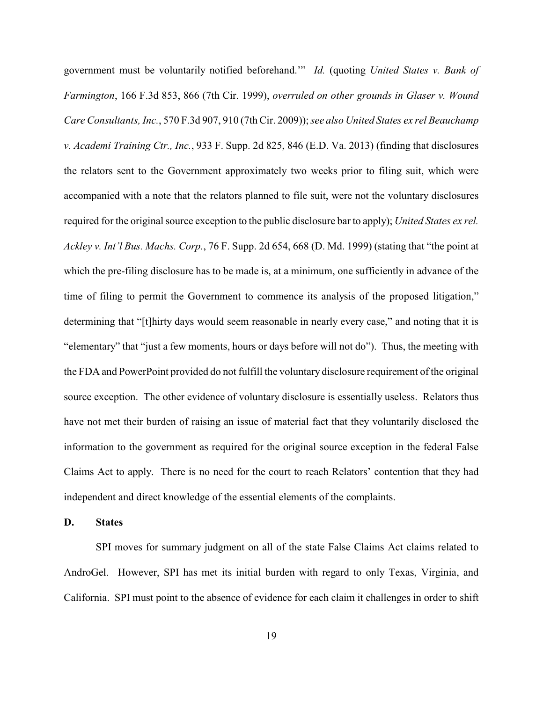government must be voluntarily notified beforehand.'" *Id.* (quoting *United States v. Bank of Farmington*, 166 F.3d 853, 866 (7th Cir. 1999), *overruled on other grounds in Glaser v. Wound Care Consultants, Inc.*, 570 F.3d 907, 910 (7th Cir. 2009)); *see also United States ex rel Beauchamp v. Academi Training Ctr., Inc.*, 933 F. Supp. 2d 825, 846 (E.D. Va. 2013) (finding that disclosures the relators sent to the Government approximately two weeks prior to filing suit, which were accompanied with a note that the relators planned to file suit, were not the voluntary disclosures required for the original source exception to the public disclosure bar to apply); *United States ex rel. Ackley v. Int'l Bus. Machs. Corp.*, 76 F. Supp. 2d 654, 668 (D. Md. 1999) (stating that "the point at which the pre-filing disclosure has to be made is, at a minimum, one sufficiently in advance of the time of filing to permit the Government to commence its analysis of the proposed litigation," determining that "[t]hirty days would seem reasonable in nearly every case," and noting that it is "elementary" that "just a few moments, hours or days before will not do"). Thus, the meeting with the FDA and PowerPoint provided do not fulfill the voluntary disclosure requirement of the original source exception. The other evidence of voluntary disclosure is essentially useless. Relators thus have not met their burden of raising an issue of material fact that they voluntarily disclosed the information to the government as required for the original source exception in the federal False Claims Act to apply. There is no need for the court to reach Relators' contention that they had independent and direct knowledge of the essential elements of the complaints.

# **D. States**

SPI moves for summary judgment on all of the state False Claims Act claims related to AndroGel. However, SPI has met its initial burden with regard to only Texas, Virginia, and California. SPI must point to the absence of evidence for each claim it challenges in order to shift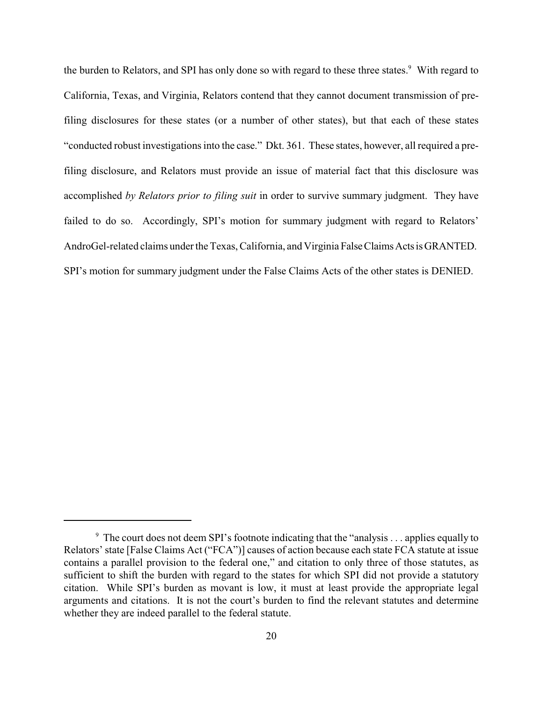the burden to Relators, and SPI has only done so with regard to these three states.<sup>9</sup> With regard to California, Texas, and Virginia, Relators contend that they cannot document transmission of prefiling disclosures for these states (or a number of other states), but that each of these states "conducted robust investigations into the case." Dkt. 361. These states, however, all required a prefiling disclosure, and Relators must provide an issue of material fact that this disclosure was accomplished *by Relators prior to filing suit* in order to survive summary judgment. They have failed to do so. Accordingly, SPI's motion for summary judgment with regard to Relators' AndroGel-related claims under the Texas, California, and Virginia False Claims Acts is GRANTED. SPI's motion for summary judgment under the False Claims Acts of the other states is DENIED.

 $\degree$  The court does not deem SPI's footnote indicating that the "analysis . . . applies equally to Relators' state [False Claims Act ("FCA")] causes of action because each state FCA statute at issue contains a parallel provision to the federal one," and citation to only three of those statutes, as sufficient to shift the burden with regard to the states for which SPI did not provide a statutory citation. While SPI's burden as movant is low, it must at least provide the appropriate legal arguments and citations. It is not the court's burden to find the relevant statutes and determine whether they are indeed parallel to the federal statute.